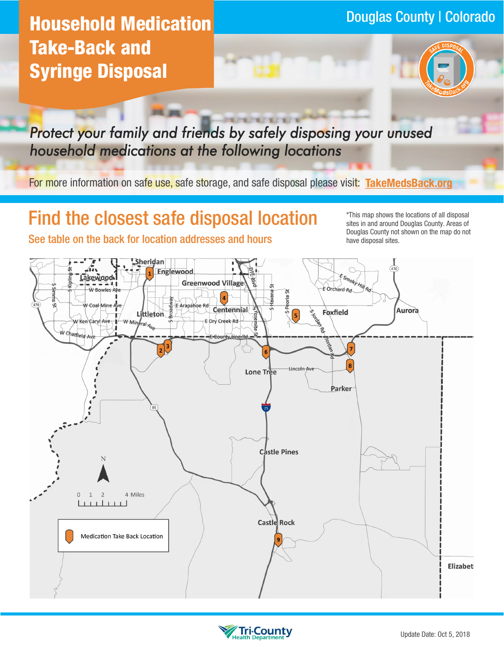# Douglas County | Colorado **Household Medication Take-Back and Syringe Disposal**



*Protect your family and friends by safely disposing your unused household medications at the following locations* 

For more information on safe use, safe storage, and safe disposal please visit: **[TakeMedsBack.org](http://www.takemedsback.org)**

## **Find the closest safe disposal location in the locations of all disposal**

sites in and around Douglas County. Areas of Douglas County not shown on the map do not See table on the back for location addresses and hours have disposal sites.